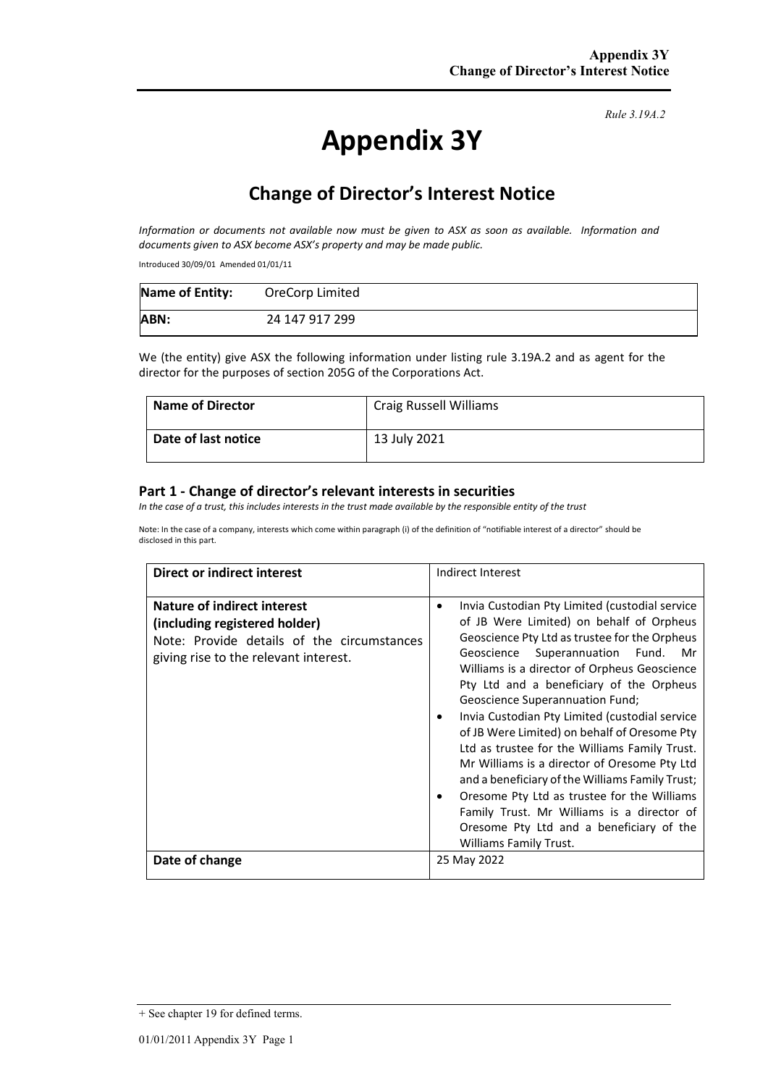# **Appendix 3Y**

*Rule 3.19A.2*

# **Change of Director's Interest Notice**

*Information or documents not available now must be given to ASX as soon as available. Information and documents given to ASX become ASX's property and may be made public.* 

Introduced 30/09/01 Amended 01/01/11

| <b>Name of Entity:</b> | OreCorp Limited |
|------------------------|-----------------|
| ABN:                   | 24 147 917 299  |

We (the entity) give ASX the following information under listing rule 3.19A.2 and as agent for the director for the purposes of section 205G of the Corporations Act.

| <b>Name of Director</b> | <b>Craig Russell Williams</b> |
|-------------------------|-------------------------------|
| Date of last notice     | 13 July 2021                  |

#### **Part 1 - Change of director's relevant interests in securities**

*In the case of a trust, this includes interests in the trust made available by the responsible entity of the trust* 

Note: In the case of a company, interests which come within paragraph (i) of the definition of "notifiable interest of a director" should be disclosed in this part.

| Direct or indirect interest                                                                                                                                | Indirect Interest                                                                                                                                                                                                                                                                                                                                                                                                                                                                                                                                                                                                                                                                                                                                               |  |
|------------------------------------------------------------------------------------------------------------------------------------------------------------|-----------------------------------------------------------------------------------------------------------------------------------------------------------------------------------------------------------------------------------------------------------------------------------------------------------------------------------------------------------------------------------------------------------------------------------------------------------------------------------------------------------------------------------------------------------------------------------------------------------------------------------------------------------------------------------------------------------------------------------------------------------------|--|
| <b>Nature of indirect interest</b><br>(including registered holder)<br>Note: Provide details of the circumstances<br>giving rise to the relevant interest. | Invia Custodian Pty Limited (custodial service<br>٠<br>of JB Were Limited) on behalf of Orpheus<br>Geoscience Pty Ltd as trustee for the Orpheus<br>Geoscience Superannuation Fund. Mr<br>Williams is a director of Orpheus Geoscience<br>Pty Ltd and a beneficiary of the Orpheus<br>Geoscience Superannuation Fund;<br>Invia Custodian Pty Limited (custodial service<br>٠<br>of JB Were Limited) on behalf of Oresome Pty<br>Ltd as trustee for the Williams Family Trust.<br>Mr Williams is a director of Oresome Pty Ltd<br>and a beneficiary of the Williams Family Trust;<br>Oresome Pty Ltd as trustee for the Williams<br>٠<br>Family Trust. Mr Williams is a director of<br>Oresome Pty Ltd and a beneficiary of the<br><b>Williams Family Trust.</b> |  |
| Date of change                                                                                                                                             | 25 May 2022                                                                                                                                                                                                                                                                                                                                                                                                                                                                                                                                                                                                                                                                                                                                                     |  |

<sup>+</sup> See chapter 19 for defined terms.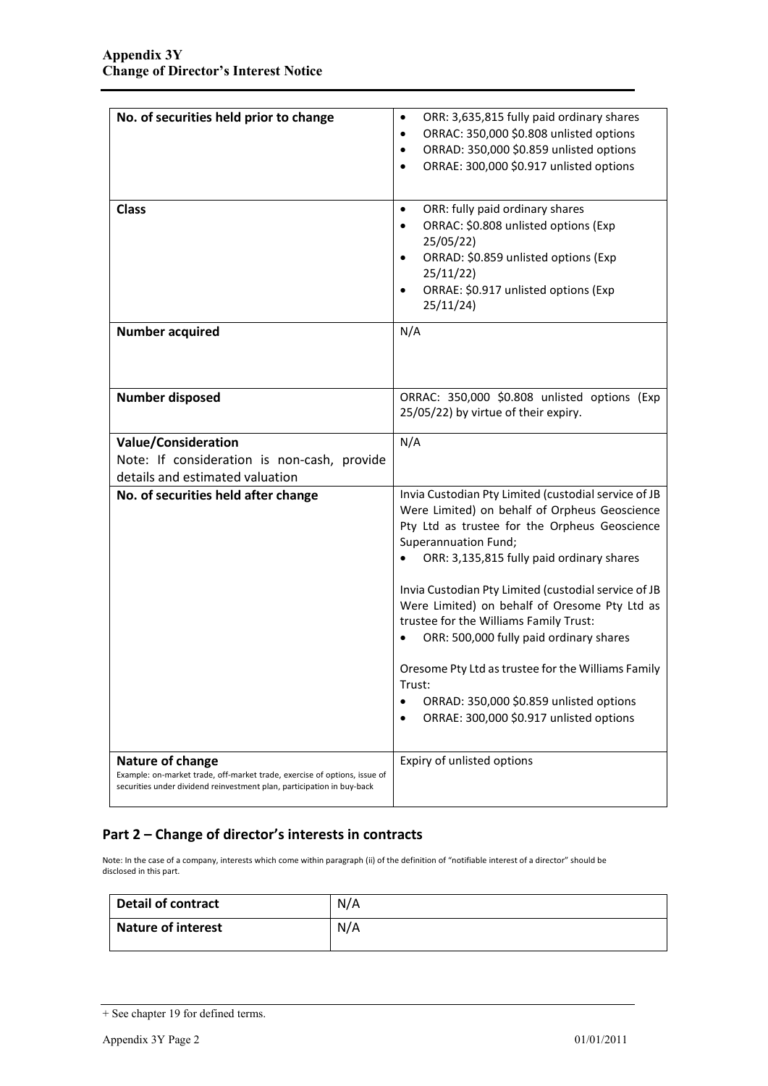| No. of securities held prior to change                                                                                                                                  | ORR: 3,635,815 fully paid ordinary shares<br>٠<br>ORRAC: 350,000 \$0.808 unlisted options<br>٠<br>ORRAD: 350,000 \$0.859 unlisted options<br>٠<br>ORRAE: 300,000 \$0.917 unlisted options                                                                                                                                                                                                                                                                                                                                                                                                    |
|-------------------------------------------------------------------------------------------------------------------------------------------------------------------------|----------------------------------------------------------------------------------------------------------------------------------------------------------------------------------------------------------------------------------------------------------------------------------------------------------------------------------------------------------------------------------------------------------------------------------------------------------------------------------------------------------------------------------------------------------------------------------------------|
| <b>Class</b>                                                                                                                                                            | ORR: fully paid ordinary shares<br>$\bullet$<br>ORRAC: \$0.808 unlisted options (Exp<br>$\bullet$<br>25/05/22<br>ORRAD: \$0.859 unlisted options (Exp<br>$\bullet$<br>25/11/22)<br>ORRAE: \$0.917 unlisted options (Exp<br>٠<br>25/11/24)                                                                                                                                                                                                                                                                                                                                                    |
| <b>Number acquired</b>                                                                                                                                                  | N/A                                                                                                                                                                                                                                                                                                                                                                                                                                                                                                                                                                                          |
| <b>Number disposed</b>                                                                                                                                                  | ORRAC: 350,000 \$0.808 unlisted options (Exp<br>25/05/22) by virtue of their expiry.                                                                                                                                                                                                                                                                                                                                                                                                                                                                                                         |
| <b>Value/Consideration</b>                                                                                                                                              | N/A                                                                                                                                                                                                                                                                                                                                                                                                                                                                                                                                                                                          |
| Note: If consideration is non-cash, provide                                                                                                                             |                                                                                                                                                                                                                                                                                                                                                                                                                                                                                                                                                                                              |
| details and estimated valuation                                                                                                                                         |                                                                                                                                                                                                                                                                                                                                                                                                                                                                                                                                                                                              |
| No. of securities held after change                                                                                                                                     | Invia Custodian Pty Limited (custodial service of JB<br>Were Limited) on behalf of Orpheus Geoscience<br>Pty Ltd as trustee for the Orpheus Geoscience<br>Superannuation Fund;<br>ORR: 3,135,815 fully paid ordinary shares<br>Invia Custodian Pty Limited (custodial service of JB<br>Were Limited) on behalf of Oresome Pty Ltd as<br>trustee for the Williams Family Trust:<br>ORR: 500,000 fully paid ordinary shares<br>Oresome Pty Ltd as trustee for the Williams Family<br>Trust:<br>ORRAD: 350,000 \$0.859 unlisted options<br>$\bullet$<br>ORRAE: 300,000 \$0.917 unlisted options |
| Nature of change<br>Example: on-market trade, off-market trade, exercise of options, issue of<br>securities under dividend reinvestment plan, participation in buy-back | Expiry of unlisted options                                                                                                                                                                                                                                                                                                                                                                                                                                                                                                                                                                   |

### **Part 2 – Change of director's interests in contracts**

Note: In the case of a company, interests which come within paragraph (ii) of the definition of "notifiable interest of a director" should be disclosed in this part.

| <b>Detail of contract</b> | N/A |
|---------------------------|-----|
| <b>Nature of interest</b> | N/A |

<sup>+</sup> See chapter 19 for defined terms.